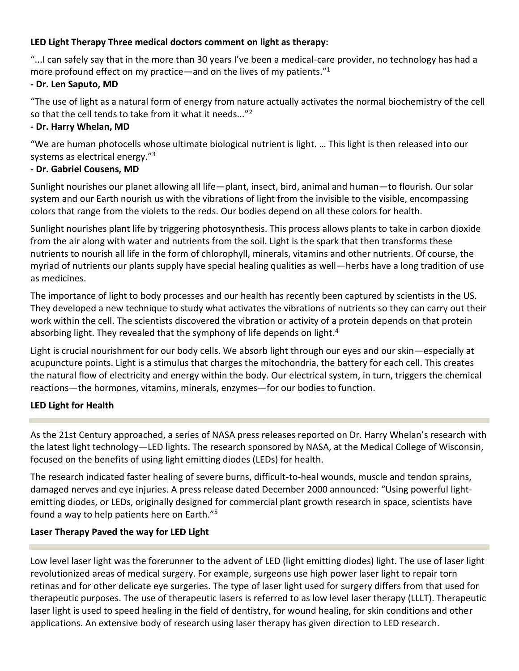## **LED Light Therapy Three medical doctors comment on light as therapy:**

"...I can safely say that in the more than 30 years I've been a medical-care provider, no technology has had a more profound effect on my practice—and on the lives of my patients."<sup>1</sup>

## **- Dr. Len Saputo, MD**

"The use of light as a natural form of energy from nature actually activates the normal biochemistry of the cell so that the cell tends to take from it what it needs..."<sup>2</sup>

## **- Dr. Harry Whelan, MD**

"We are human photocells whose ultimate biological nutrient is light. … This light is then released into our systems as electrical energy."<sup>3</sup>

## **- Dr. Gabriel Cousens, MD**

Sunlight nourishes our planet allowing all life—plant, insect, bird, animal and human—to flourish. Our solar system and our Earth nourish us with the vibrations of light from the invisible to the visible, encompassing colors that range from the violets to the reds. Our bodies depend on all these colors for health.

Sunlight nourishes plant life by triggering photosynthesis. This process allows plants to take in carbon dioxide from the air along with water and nutrients from the soil. Light is the spark that then transforms these nutrients to nourish all life in the form of chlorophyll, minerals, vitamins and other nutrients. Of course, the myriad of nutrients our plants supply have special healing qualities as well—herbs have a long tradition of use as medicines.

The importance of light to body processes and our health has recently been captured by scientists in the US. They developed a new technique to study what activates the vibrations of nutrients so they can carry out their work within the cell. The scientists discovered the vibration or activity of a protein depends on that protein absorbing light. They revealed that the symphony of life depends on light.<sup>4</sup>

Light is crucial nourishment for our body cells. We absorb light through our eyes and our skin—especially at acupuncture points. Light is a stimulus that charges the mitochondria, the battery for each cell. This creates the natural flow of electricity and energy within the body. Our electrical system, in turn, triggers the chemical reactions—the hormones, vitamins, minerals, enzymes—for our bodies to function.

# **LED Light for Health**

As the 21st Century approached, a series of NASA press releases reported on Dr. Harry Whelan's research with the latest light technology—LED lights. The research sponsored by NASA, at the Medical College of Wisconsin, focused on the benefits of using light emitting diodes (LEDs) for health.

The research indicated faster healing of severe burns, difficult-to-heal wounds, muscle and tendon sprains, damaged nerves and eye injuries. A press release dated December 2000 announced: "Using powerful lightemitting diodes, or LEDs, originally designed for commercial plant growth research in space, scientists have found a way to help patients here on Earth."<sup>5</sup>

## **Laser Therapy Paved the way for LED Light**

Low level laser light was the forerunner to the advent of LED (light emitting diodes) light. The use of laser light revolutionized areas of medical surgery. For example, surgeons use high power laser light to repair torn retinas and for other delicate eye surgeries. The type of laser light used for surgery differs from that used for therapeutic purposes. The use of therapeutic lasers is referred to as low level laser therapy (LLLT). Therapeutic laser light is used to speed healing in the field of dentistry, for wound healing, for skin conditions and other applications. An extensive body of research using laser therapy has given direction to LED research.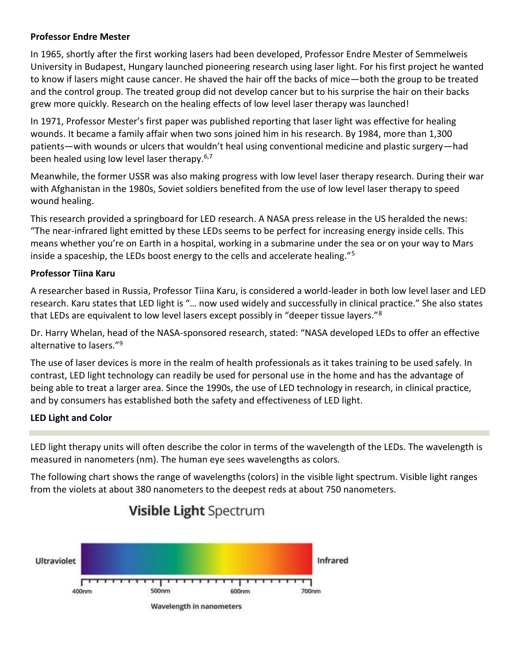#### **Professor Endre Mester**

In 1965, shortly after the first working lasers had been developed, Professor Endre Mester of Semmelweis University in Budapest, Hungary launched pioneering research using laser light. For his first project he wanted to know if lasers might cause cancer. He shaved the hair off the backs of mice—both the group to be treated and the control group. The treated group did not develop cancer but to his surprise the hair on their backs grew more quickly. Research on the healing effects of low level laser therapy was launched!

In 1971, Professor Mester's first paper was published reporting that laser light was effective for healing wounds. It became a family affair when two sons joined him in his research. By 1984, more than 1,300 patients—with wounds or ulcers that wouldn't heal using conventional medicine and plastic surgery—had been healed using low level laser therapy.6,7

Meanwhile, the former USSR was also making progress with low level laser therapy research. During their war with Afghanistan in the 1980s, Soviet soldiers benefited from the use of low level laser therapy to speed wound healing.

This research provided a springboard for LED research. A NASA press release in the US heralded the news: "The near-infrared light emitted by these LEDs seems to be perfect for increasing energy inside cells. This means whether you're on Earth in a hospital, working in a submarine under the sea or on your way to Mars inside a spaceship, the LEDs boost energy to the cells and accelerate healing."<sup>5</sup>

## **Professor Tiina Karu**

A researcher based in Russia, Professor Tiina Karu, is considered a world-leader in both low level laser and LED research. Karu states that LED light is "… now used widely and successfully in clinical practice." She also states that LEDs are equivalent to low level lasers except possibly in "deeper tissue layers."<sup>8</sup>

Dr. Harry Whelan, head of the NASA-sponsored research, stated: "NASA developed LEDs to offer an effective alternative to lasers."<sup>9</sup>

The use of laser devices is more in the realm of health professionals as it takes training to be used safely. In contrast, LED light technology can readily be used for personal use in the home and has the advantage of being able to treat a larger area. Since the 1990s, the use of LED technology in research, in clinical practice, and by consumers has established both the safety and effectiveness of LED light.

## **LED Light and Color**

LED light therapy units will often describe the color in terms of the wavelength of the LEDs. The wavelength is measured in nanometers (nm). The human eye sees wavelengths as colors.

The following chart shows the range of wavelengths (colors) in the visible light spectrum. Visible light ranges from the violets at about 380 nanometers to the deepest reds at about 750 nanometers.



# Visible Light Spectrum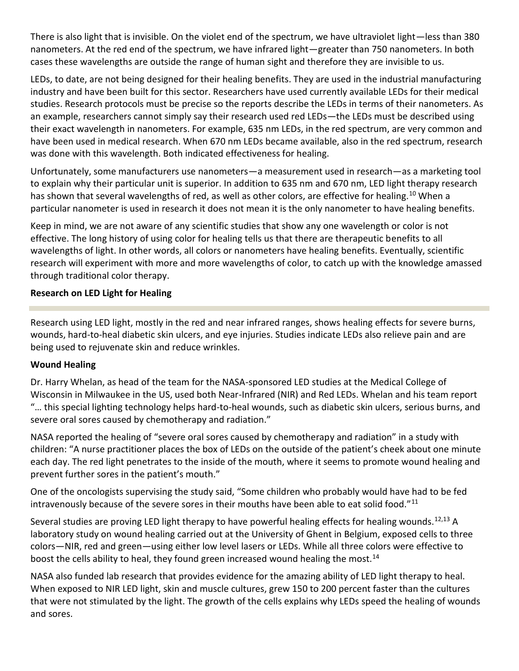There is also light that is invisible. On the violet end of the spectrum, we have ultraviolet light—less than 380 nanometers. At the red end of the spectrum, we have infrared light—greater than 750 nanometers. In both cases these wavelengths are outside the range of human sight and therefore they are invisible to us.

LEDs, to date, are not being designed for their healing benefits. They are used in the industrial manufacturing industry and have been built for this sector. Researchers have used currently available LEDs for their medical studies. Research protocols must be precise so the reports describe the LEDs in terms of their nanometers. As an example, researchers cannot simply say their research used red LEDs—the LEDs must be described using their exact wavelength in nanometers. For example, 635 nm LEDs, in the red spectrum, are very common and have been used in medical research. When 670 nm LEDs became available, also in the red spectrum, research was done with this wavelength. Both indicated effectiveness for healing.

Unfortunately, some manufacturers use nanometers—a measurement used in research—as a marketing tool to explain why their particular unit is superior. In addition to 635 nm and 670 nm, LED light therapy research has shown that several wavelengths of red, as well as other colors, are effective for healing.<sup>10</sup> When a particular nanometer is used in research it does not mean it is the only nanometer to have healing benefits.

Keep in mind, we are not aware of any scientific studies that show any one wavelength or color is not effective. The long history of using color for healing tells us that there are therapeutic benefits to all wavelengths of light. In other words, all colors or nanometers have healing benefits. Eventually, scientific research will experiment with more and more wavelengths of color, to catch up with the knowledge amassed through traditional color therapy.

## **Research on LED Light for Healing**

Research using LED light, mostly in the red and near infrared ranges, shows healing effects for severe burns, wounds, hard-to-heal diabetic skin ulcers, and eye injuries. Studies indicate LEDs also relieve pain and are being used to rejuvenate skin and reduce wrinkles.

## **Wound Healing**

Dr. Harry Whelan, as head of the team for the NASA-sponsored LED studies at the Medical College of Wisconsin in Milwaukee in the US, used both Near-Infrared (NIR) and Red LEDs. Whelan and his team report "… this special lighting technology helps hard-to-heal wounds, such as diabetic skin ulcers, serious burns, and severe oral sores caused by chemotherapy and radiation."

NASA reported the healing of "severe oral sores caused by chemotherapy and radiation" in a study with children: "A nurse practitioner places the box of LEDs on the outside of the patient's cheek about one minute each day. The red light penetrates to the inside of the mouth, where it seems to promote wound healing and prevent further sores in the patient's mouth."

One of the oncologists supervising the study said, "Some children who probably would have had to be fed intravenously because of the severe sores in their mouths have been able to eat solid food."<sup>11</sup>

Several studies are proving LED light therapy to have powerful healing effects for healing wounds.<sup>12,13</sup> A laboratory study on wound healing carried out at the University of Ghent in Belgium, exposed cells to three colors—NIR, red and green—using either low level lasers or LEDs. While all three colors were effective to boost the cells ability to heal, they found green increased wound healing the most.<sup>14</sup>

NASA also funded lab research that provides evidence for the amazing ability of LED light therapy to heal. When exposed to NIR LED light, skin and muscle cultures, grew 150 to 200 percent faster than the cultures that were not stimulated by the light. The growth of the cells explains why LEDs speed the healing of wounds and sores.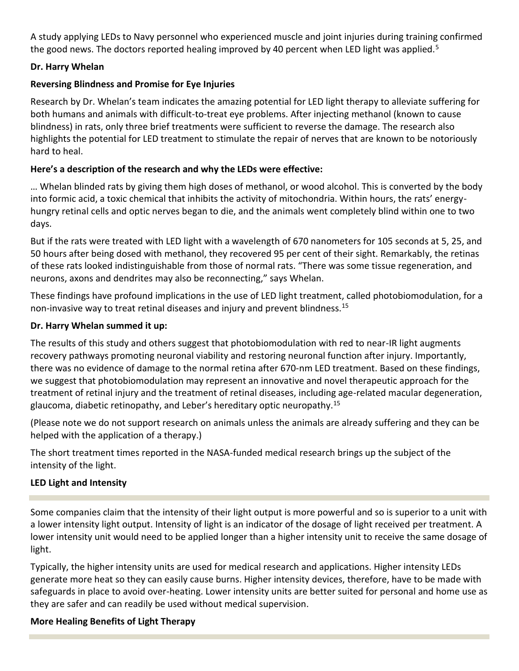A study applying LEDs to Navy personnel who experienced muscle and joint injuries during training confirmed the good news. The doctors reported healing improved by 40 percent when LED light was applied.<sup>5</sup>

#### **Dr. Harry Whelan**

#### **Reversing Blindness and Promise for Eye Injuries**

Research by Dr. Whelan's team indicates the amazing potential for LED light therapy to alleviate suffering for both humans and animals with difficult-to-treat eye problems. After injecting methanol (known to cause blindness) in rats, only three brief treatments were sufficient to reverse the damage. The research also highlights the potential for LED treatment to stimulate the repair of nerves that are known to be notoriously hard to heal.

#### **Here's a description of the research and why the LEDs were effective:**

… Whelan blinded rats by giving them high doses of methanol, or wood alcohol. This is converted by the body into formic acid, a toxic chemical that inhibits the activity of mitochondria. Within hours, the rats' energyhungry retinal cells and optic nerves began to die, and the animals went completely blind within one to two days.

But if the rats were treated with LED light with a wavelength of 670 nanometers for 105 seconds at 5, 25, and 50 hours after being dosed with methanol, they recovered 95 per cent of their sight. Remarkably, the retinas of these rats looked indistinguishable from those of normal rats. "There was some tissue regeneration, and neurons, axons and dendrites may also be reconnecting," says Whelan.

These findings have profound implications in the use of LED light treatment, called photobiomodulation, for a non-invasive way to treat retinal diseases and injury and prevent blindness.<sup>15</sup>

#### **Dr. Harry Whelan summed it up:**

The results of this study and others suggest that photobiomodulation with red to near-IR light augments recovery pathways promoting neuronal viability and restoring neuronal function after injury. Importantly, there was no evidence of damage to the normal retina after 670-nm LED treatment. Based on these findings, we suggest that photobiomodulation may represent an innovative and novel therapeutic approach for the treatment of retinal injury and the treatment of retinal diseases, including age-related macular degeneration, glaucoma, diabetic retinopathy, and Leber's hereditary optic neuropathy.<sup>15</sup>

(Please note we do not support research on animals unless the animals are already suffering and they can be helped with the application of a therapy.)

The short treatment times reported in the NASA-funded medical research brings up the subject of the intensity of the light.

## **LED Light and Intensity**

Some companies claim that the intensity of their light output is more powerful and so is superior to a unit with a lower intensity light output. Intensity of light is an indicator of the dosage of light received per treatment. A lower intensity unit would need to be applied longer than a higher intensity unit to receive the same dosage of light.

Typically, the higher intensity units are used for medical research and applications. Higher intensity LEDs generate more heat so they can easily cause burns. Higher intensity devices, therefore, have to be made with safeguards in place to avoid over-heating. Lower intensity units are better suited for personal and home use as they are safer and can readily be used without medical supervision.

## **More Healing Benefits of Light Therapy**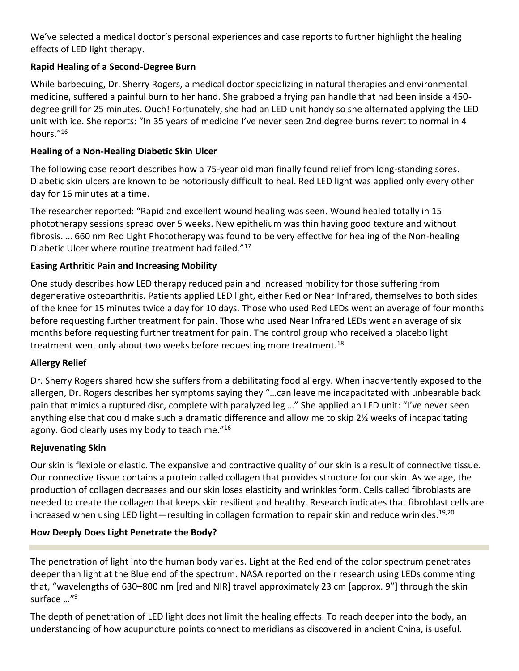We've selected a medical doctor's personal experiences and case reports to further highlight the healing effects of LED light therapy.

# **Rapid Healing of a Second-Degree Burn**

While barbecuing, Dr. Sherry Rogers, a medical doctor specializing in natural therapies and environmental medicine, suffered a painful burn to her hand. She grabbed a frying pan handle that had been inside a 450 degree grill for 25 minutes. Ouch! Fortunately, she had an LED unit handy so she alternated applying the LED unit with ice. She reports: "In 35 years of medicine I've never seen 2nd degree burns revert to normal in 4 hours."<sup>16</sup>

## **Healing of a Non-Healing Diabetic Skin Ulcer**

The following case report describes how a 75-year old man finally found relief from long-standing sores. Diabetic skin ulcers are known to be notoriously difficult to heal. Red LED light was applied only every other day for 16 minutes at a time.

The researcher reported: "Rapid and excellent wound healing was seen. Wound healed totally in 15 phototherapy sessions spread over 5 weeks. New epithelium was thin having good texture and without fibrosis. … 660 nm Red Light Phototherapy was found to be very effective for healing of the Non-healing Diabetic Ulcer where routine treatment had failed."<sup>17</sup>

## **Easing Arthritic Pain and Increasing Mobility**

One study describes how LED therapy reduced pain and increased mobility for those suffering from degenerative osteoarthritis. Patients applied LED light, either Red or Near Infrared, themselves to both sides of the knee for 15 minutes twice a day for 10 days. Those who used Red LEDs went an average of four months before requesting further treatment for pain. Those who used Near Infrared LEDs went an average of six months before requesting further treatment for pain. The control group who received a placebo light treatment went only about two weeks before requesting more treatment.<sup>18</sup>

## **Allergy Relief**

Dr. Sherry Rogers shared how she suffers from a debilitating food allergy. When inadvertently exposed to the allergen, Dr. Rogers describes her symptoms saying they "…can leave me incapacitated with unbearable back pain that mimics a ruptured disc, complete with paralyzed leg …" She applied an LED unit: "I've never seen anything else that could make such a dramatic difference and allow me to skip 2½ weeks of incapacitating agony. God clearly uses my body to teach me."<sup>16</sup>

## **Rejuvenating Skin**

Our skin is flexible or elastic. The expansive and contractive quality of our skin is a result of connective tissue. Our connective tissue contains a protein called collagen that provides structure for our skin. As we age, the production of collagen decreases and our skin loses elasticity and wrinkles form. Cells called fibroblasts are needed to create the collagen that keeps skin resilient and healthy. Research indicates that fibroblast cells are increased when using LED light—resulting in collagen formation to repair skin and reduce wrinkles.<sup>19,20</sup>

## **How Deeply Does Light Penetrate the Body?**

The penetration of light into the human body varies. Light at the Red end of the color spectrum penetrates deeper than light at the Blue end of the spectrum. NASA reported on their research using LEDs commenting that, "wavelengths of 630–800 nm [red and NIR] travel approximately 23 cm [approx. 9"] through the skin surface …"<sup>9</sup>

The depth of penetration of LED light does not limit the healing effects. To reach deeper into the body, an understanding of how acupuncture points connect to meridians as discovered in ancient China, is useful.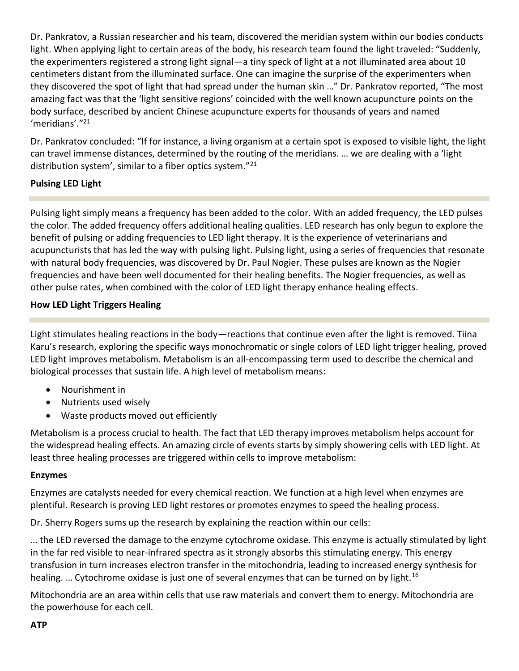Dr. Pankratov, a Russian researcher and his team, discovered the meridian system within our bodies conducts light. When applying light to certain areas of the body, his research team found the light traveled: "Suddenly, the experimenters registered a strong light signal—a tiny speck of light at a not illuminated area about 10 centimeters distant from the illuminated surface. One can imagine the surprise of the experimenters when they discovered the spot of light that had spread under the human skin …" Dr. Pankratov reported, "The most amazing fact was that the 'light sensitive regions' coincided with the well known acupuncture points on the body surface, described by ancient Chinese acupuncture experts for thousands of years and named 'meridians'."<sup>21</sup>

Dr. Pankratov concluded: "If for instance, a living organism at a certain spot is exposed to visible light, the light can travel immense distances, determined by the routing of the meridians. … we are dealing with a 'light distribution system', similar to a fiber optics system."<sup>21</sup>

## **Pulsing LED Light**

Pulsing light simply means a frequency has been added to the color. With an added frequency, the LED pulses the color. The added frequency offers additional healing qualities. LED research has only begun to explore the benefit of pulsing or adding frequencies to LED light therapy. It is the experience of veterinarians and acupuncturists that has led the way with pulsing light. Pulsing light, using a series of frequencies that resonate with natural body frequencies, was discovered by Dr. Paul Nogier. These pulses are known as the Nogier frequencies and have been well documented for their healing benefits. The Nogier frequencies, as well as other pulse rates, when combined with the color of LED light therapy enhance healing effects.

## **How LED Light Triggers Healing**

Light stimulates healing reactions in the body—reactions that continue even after the light is removed. Tiina Karu's research, exploring the specific ways monochromatic or single colors of LED light trigger healing, proved LED light improves metabolism. Metabolism is an all-encompassing term used to describe the chemical and biological processes that sustain life. A high level of metabolism means:

- Nourishment in
- Nutrients used wisely
- Waste products moved out efficiently

Metabolism is a process crucial to health. The fact that LED therapy improves metabolism helps account for the widespread healing effects. An amazing circle of events starts by simply showering cells with LED light. At least three healing processes are triggered within cells to improve metabolism:

#### **Enzymes**

Enzymes are catalysts needed for every chemical reaction. We function at a high level when enzymes are plentiful. Research is proving LED light restores or promotes enzymes to speed the healing process.

Dr. Sherry Rogers sums up the research by explaining the reaction within our cells:

… the LED reversed the damage to the enzyme cytochrome oxidase. This enzyme is actually stimulated by light in the far red visible to near-infrared spectra as it strongly absorbs this stimulating energy. This energy transfusion in turn increases electron transfer in the mitochondria, leading to increased energy synthesis for healing. ... Cytochrome oxidase is just one of several enzymes that can be turned on by light.<sup>16</sup>

Mitochondria are an area within cells that use raw materials and convert them to energy. Mitochondria are the powerhouse for each cell.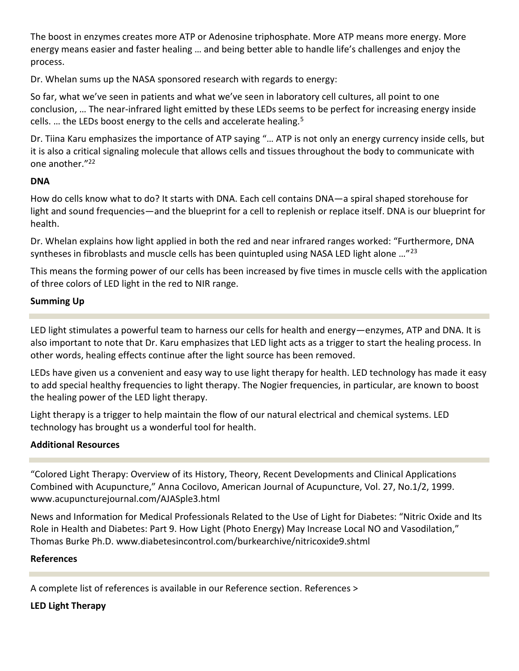The boost in enzymes creates more ATP or Adenosine triphosphate. More ATP means more energy. More energy means easier and faster healing … and being better able to handle life's challenges and enjoy the process.

Dr. Whelan sums up the NASA sponsored research with regards to energy:

So far, what we've seen in patients and what we've seen in laboratory cell cultures, all point to one conclusion, … The near-infrared light emitted by these LEDs seems to be perfect for increasing energy inside cells. ... the LEDs boost energy to the cells and accelerate healing.<sup>5</sup>

Dr. Tiina Karu emphasizes the importance of ATP saying "… ATP is not only an energy currency inside cells, but it is also a critical signaling molecule that allows cells and tissues throughout the body to communicate with one another."<sup>22</sup>

## **DNA**

How do cells know what to do? It starts with DNA. Each cell contains DNA—a spiral shaped storehouse for light and sound frequencies—and the blueprint for a cell to replenish or replace itself. DNA is our blueprint for health.

Dr. Whelan explains how light applied in both the red and near infrared ranges worked: "Furthermore, DNA syntheses in fibroblasts and muscle cells has been quintupled using NASA LED light alone ...<sup>"23</sup>

This means the forming power of our cells has been increased by five times in muscle cells with the application of three colors of LED light in the red to NIR range.

# **Summing Up**

LED light stimulates a powerful team to harness our cells for health and energy—enzymes, ATP and DNA. It is also important to note that Dr. Karu emphasizes that LED light acts as a trigger to start the healing process. In other words, healing effects continue after the light source has been removed.

LEDs have given us a convenient and easy way to use light therapy for health. LED technology has made it easy to add special healthy frequencies to light therapy. The Nogier frequencies, in particular, are known to boost the healing power of the LED light therapy.

Light therapy is a trigger to help maintain the flow of our natural electrical and chemical systems. LED technology has brought us a wonderful tool for health.

# **Additional Resources**

"Colored Light Therapy: Overview of its History, Theory, Recent Developments and Clinical Applications Combined with Acupuncture," Anna Cocilovo, American Journal of Acupuncture, Vol. 27, No.1/2, 1999. [www.acupuncturejournal.com/AJASple3.html](http://www.acupuncturejournal.com/AJASple3.html)

News and Information for Medical Professionals Related to the Use of Light for Diabetes: "Nitric Oxide and Its Role in Health and Diabetes: Part 9. How Light (Photo Energy) May Increase Local NO and Vasodilation," Thomas Burke Ph.D. [www.diabetesincontrol.com/burkearchive/nitricoxide9.shtml](http://www.diabetesincontrol.com/burkearchive/nitricoxide9.shtml)

# **References**

A complete list of references is available in our Reference section. [References >](http://www.mylighttherapy.com/references.html)

# **LED Light Therapy**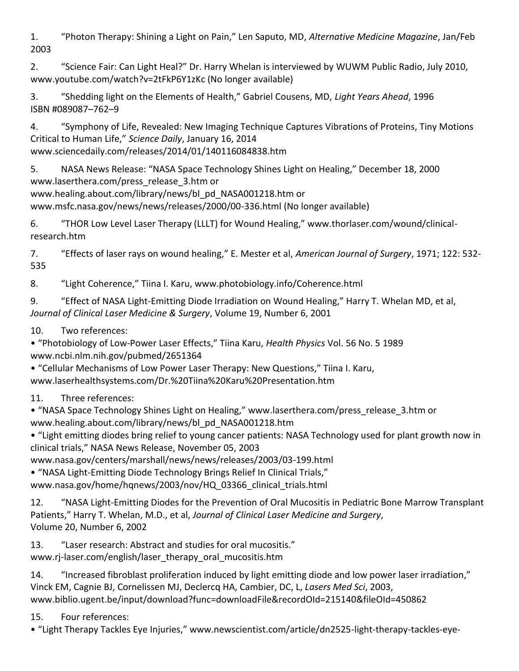1. "Photon Therapy: Shining a Light on Pain," Len Saputo, MD, *Alternative Medicine Magazine*, Jan/Feb 2003

2. "Science Fair: Can Light Heal?" Dr. Harry Whelan is interviewed by WUWM Public Radio, July 2010, www.youtube.com/watch?v=2tFkP6Y1zKc (No longer available)

3. "Shedding light on the Elements of Health," Gabriel Cousens, MD, *Light Years Ahead*, 1996 ISBN #089087–762–9

4. "Symphony of Life, Revealed: New Imaging Technique Captures Vibrations of Proteins, Tiny Motions Critical to Human Life," *Science Daily*, January 16, 2014 www.sciencedaily.com/releases/2014/01/140116084838.htm

5. NASA News Release: "NASA Space Technology Shines Light on Healing," December 18, 2000 www.laserthera.com/press\_release\_3.htm or

www.healing.about.com/library/news/bl\_pd\_NASA001218.htm or

www.msfc.nasa.gov/news/news/releases/2000/00-336.html (No longer available)

6. "THOR Low Level Laser Therapy (LLLT) for Wound Healing," www.thorlaser.com/wound/clinicalresearch.htm

7. "Effects of laser rays on wound healing," E. Mester et al, *American Journal of Surgery*, 1971; 122: 532- 535

8. "Light Coherence," Tiina I. Karu, www.photobiology.info/Coherence.html

9. "Effect of NASA Light-Emitting Diode Irradiation on Wound Healing," Harry T. Whelan MD, et al, *Journal of Clinical Laser Medicine & Surgery*, Volume 19, Number 6, 2001

10. Two references:

• "Photobiology of Low-Power Laser Effects," Tiina Karu, *Health Physics* Vol. 56 No. 5 1989 www.ncbi.nlm.nih.gov/pubmed/2651364

• "Cellular Mechanisms of Low Power Laser Therapy: New Questions," Tiina I. Karu, www.laserhealthsystems.com/Dr.%20Tiina%20Karu%20Presentation.htm

11. Three references:

• "NASA Space Technology Shines Light on Healing," www.laserthera.com/press\_release\_3.htm or www.healing.about.com/library/news/bl\_pd\_NASA001218.htm

• "Light emitting diodes bring relief to young cancer patients: NASA Technology used for plant growth now in clinical trials," NASA News Release, November 05, 2003

www.nasa.gov/centers/marshall/news/news/releases/2003/03-199.html

• "NASA Light-Emitting Diode Technology Brings Relief In Clinical Trials,"

www.nasa.gov/home/hqnews/2003/nov/HQ\_03366\_clinical\_trials.html

12. "NASA Light-Emitting Diodes for the Prevention of Oral Mucositis in Pediatric Bone Marrow Transplant Patients," Harry T. Whelan, M.D., et al, *Journal of Clinical Laser Medicine and Surgery*, Volume 20, Number 6, 2002

13. "Laser research: Abstract and studies for oral mucositis." www.rj-laser.com/english/laser\_therapy\_oral\_mucositis.htm

14. "Increased fibroblast proliferation induced by light emitting diode and low power laser irradiation," Vinck EM, Cagnie BJ, Cornelissen MJ, Declercq HA, Cambier, DC, L, *Lasers Med Sci*, 2003, www.biblio.ugent.be/input/download?func=downloadFile&recordOId=215140&fileOId=450862

15. Four references:

• "Light Therapy Tackles Eye Injuries," www.newscientist.com/article/dn2525-light-therapy-tackles-eye-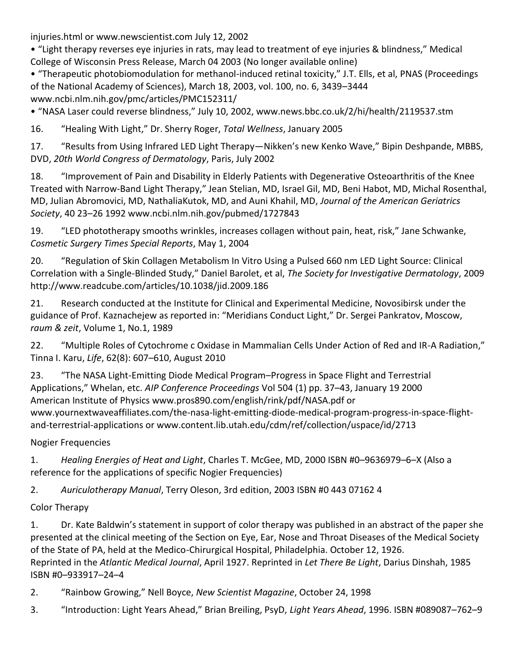injuries.html or www.newscientist.com July 12, 2002

• "Light therapy reverses eye injuries in rats, may lead to treatment of eye injuries & blindness," Medical College of Wisconsin Press Release, March 04 2003 (No longer available online)

• "Therapeutic photobiomodulation for methanol-induced retinal toxicity," J.T. Ells, et al, PNAS (Proceedings of the National Academy of Sciences), March 18, 2003, vol. 100, no. 6, 3439–3444 www.ncbi.nlm.nih.gov/pmc/articles/PMC152311/

• "NASA Laser could reverse blindness," July 10, 2002, www.news.bbc.co.uk/2/hi/health/2119537.stm

16. "Healing With Light," Dr. Sherry Roger, *Total Wellness*, January 2005

17. "Results from Using Infrared LED Light Therapy—Nikken's new Kenko Wave," Bipin Deshpande, MBBS, DVD, *20th World Congress of Dermatology*, Paris, July 2002

18. "Improvement of Pain and Disability in Elderly Patients with Degenerative Osteoarthritis of the Knee Treated with Narrow-Band Light Therapy," Jean Stelian, MD, Israel Gil, MD, Beni Habot, MD, Michal Rosenthal, MD, Julian Abromovici, MD, NathaliaKutok, MD, and Auni Khahil, MD, *Journal of the American Geriatrics Society*, 40 23–26 1992 www.ncbi.nlm.nih.gov/pubmed/1727843

19. "LED phototherapy smooths wrinkles, increases collagen without pain, heat, risk," Jane Schwanke, *Cosmetic Surgery Times Special Reports*, May 1, 2004

20. "Regulation of Skin Collagen Metabolism In Vitro Using a Pulsed 660 nm LED Light Source: Clinical Correlation with a Single-Blinded Study," Daniel Barolet, et al, *The Society for Investigative Dermatology*, 2009 http://www.readcube.com/articles/10.1038/jid.2009.186

21. Research conducted at the Institute for Clinical and Experimental Medicine, Novosibirsk under the guidance of Prof. Kaznachejew as reported in: "Meridians Conduct Light," Dr. Sergei Pankratov, Moscow, *raum & zeit*, Volume 1, No.1, 1989

22. "Multiple Roles of Cytochrome c Oxidase in Mammalian Cells Under Action of Red and IR-A Radiation," Tinna I. Karu, *Life*, 62(8): 607–610, August 2010

23. "The NASA Light-Emitting Diode Medical Program–Progress in Space Flight and Terrestrial Applications," Whelan, etc. *AIP Conference Proceedings* Vol 504 (1) pp. 37–43, January 19 2000 American Institute of Physics www.pros890.com/english/rink/pdf/NASA.pdf or www.yournextwaveaffiliates.com/the-nasa-light-emitting-diode-medical-program-progress-in-space-flightand-terrestrial-applications or www.content.lib.utah.edu/cdm/ref/collection/uspace/id/2713

Nogier Frequencies

1. *Healing Energies of Heat and Light*, Charles T. McGee, MD, 2000 ISBN #0–9636979–6–X (Also a reference for the applications of specific Nogier Frequencies)

2. *Auriculotherapy Manual*, Terry Oleson, 3rd edition, 2003 ISBN #0 443 07162 4

Color Therapy

1. Dr. Kate Baldwin's statement in support of color therapy was published in an abstract of the paper she presented at the clinical meeting of the Section on Eye, Ear, Nose and Throat Diseases of the Medical Society of the State of PA, held at the Medico-Chirurgical Hospital, Philadelphia. October 12, 1926. Reprinted in the *Atlantic Medical Journal*, April 1927. Reprinted in *Let There Be Light*, Darius Dinshah, 1985 ISBN #0–933917–24–4

- 2. "Rainbow Growing," Nell Boyce, *New Scientist Magazine*, October 24, 1998
- 3. "Introduction: Light Years Ahead," Brian Breiling, PsyD, *Light Years Ahead*, 1996. ISBN #089087–762–9